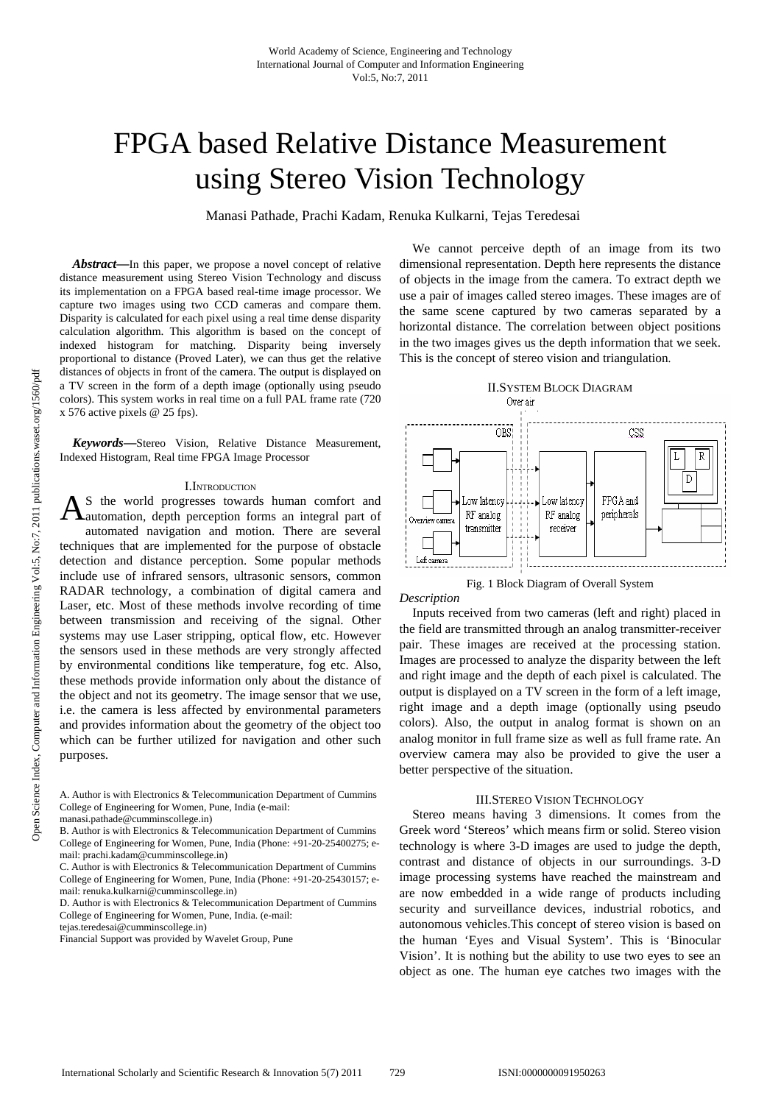# FPGA based Relative Distance Measurement using Stereo Vision Technology

Manasi Pathade, Prachi Kadam, Renuka Kulkarni, Tejas Teredesai

*Abstract***—**In this paper, we propose a novel concept of relative distance measurement using Stereo Vision Technology and discuss its implementation on a FPGA based real-time image processor. We capture two images using two CCD cameras and compare them. Disparity is calculated for each pixel using a real time dense disparity calculation algorithm. This algorithm is based on the concept of indexed histogram for matching. Disparity being inversely proportional to distance (Proved Later), we can thus get the relative distances of objects in front of the camera. The output is displayed on a TV screen in the form of a depth image (optionally using pseudo colors). This system works in real time on a full PAL frame rate (720 x 576 active pixels @ 25 fps).

*Keywords***—**Stereo Vision, Relative Distance Measurement, Indexed Histogram, Real time FPGA Image Processor

## I.INTRODUCTION

S the world progresses towards human comfort and  $A$ <sup>S</sup> the world progresses towards human comfort and automation, depth perception forms an integral part of automated navigation and motion. There are several techniques that are implemented for the purpose of obstacle detection and distance perception. Some popular methods include use of infrared sensors, ultrasonic sensors, common RADAR technology, a combination of digital camera and Laser, etc. Most of these methods involve recording of time between transmission and receiving of the signal. Other systems may use Laser stripping, optical flow, etc. However the sensors used in these methods are very strongly affected by environmental conditions like temperature, fog etc. Also, these methods provide information only about the distance of the object and not its geometry. The image sensor that we use, i.e. the camera is less affected by environmental parameters and provides information about the geometry of the object too which can be further utilized for navigation and other such purposes.

A. Author is with Electronics & Telecommunication Department of Cummins College of Engineering for Women, Pune, India (e-mail:

B. Author is with Electronics & Telecommunication Department of Cummins College of Engineering for Women, Pune, India (Phone: +91-20-25400275; email: prachi.kadam@cumminscollege.in)

D. Author is with Electronics & Telecommunication Department of Cummins College of Engineering for Women, Pune, India. (e-mail:

Financial Support was provided by Wavelet Group, Pune

We cannot perceive depth of an image from its two dimensional representation. Depth here represents the distance of objects in the image from the camera. To extract depth we use a pair of images called stereo images. These images are of the same scene captured by two cameras separated by a horizontal distance. The correlation between object positions in the two images gives us the depth information that we seek. This is the concept of stereo vision and triangulation.



Fig. 1 Block Diagram of Overall System

## *Description*

Inputs received from two cameras (left and right) placed in the field are transmitted through an analog transmitter-receiver pair. These images are received at the processing station. Images are processed to analyze the disparity between the left and right image and the depth of each pixel is calculated. The output is displayed on a TV screen in the form of a left image, right image and a depth image (optionally using pseudo colors). Also, the output in analog format is shown on an analog monitor in full frame size as well as full frame rate. An overview camera may also be provided to give the user a better perspective of the situation.

## III.STEREO VISION TECHNOLOGY

Stereo means having 3 dimensions. It comes from the Greek word 'Stereos' which means firm or solid. Stereo vision technology is where 3-D images are used to judge the depth, contrast and distance of objects in our surroundings. 3-D image processing systems have reached the mainstream and are now embedded in a wide range of products including security and surveillance devices, industrial robotics, and autonomous vehicles.This concept of stereo vision is based on the human 'Eyes and Visual System'. This is 'Binocular Vision'. It is nothing but the ability to use two eyes to see an object as one. The human eye catches two images with the

manasi.pathade@cumminscollege.in)

C. Author is with Electronics & Telecommunication Department of Cummins College of Engineering for Women, Pune, India (Phone: +91-20-25430157; email: renuka.kulkarni@cumminscollege.in)

tejas.teredesai@cumminscollege.in)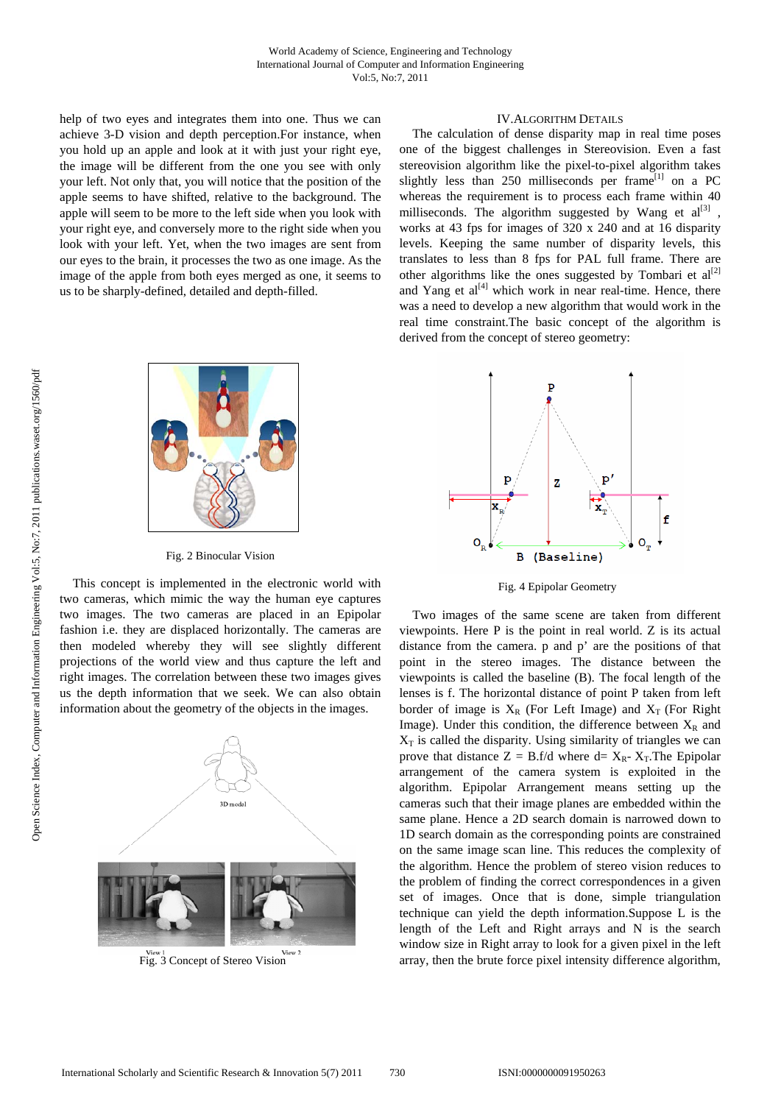help of two eyes and integrates them into one. Thus we can achieve 3-D vision and depth perception.For instance, when you hold up an apple and look at it with just your right eye, the image will be different from the one you see with only your left. Not only that, you will notice that the position of the apple seems to have shifted, relative to the background. The apple will seem to be more to the left side when you look with your right eye, and conversely more to the right side when you look with your left. Yet, when the two images are sent from our eyes to the brain, it processes the two as one image. As the image of the apple from both eyes merged as one, it seems to us to be sharply-defined, detailed and depth-filled.



Fig. 2 Binocular Vision

This concept is implemented in the electronic world with two cameras, which mimic the way the human eye captures two images. The two cameras are placed in an Epipolar fashion i.e. they are displaced horizontally. The cameras are then modeled whereby they will see slightly different projections of the world view and thus capture the left and right images. The correlation between these two images gives us the depth information that we seek. We can also obtain information about the geometry of the objects in the images.



Fig. 3 Concept of Stereo Vision

## IV.ALGORITHM DETAILS

The calculation of dense disparity map in real time poses one of the biggest challenges in Stereovision. Even a fast stereovision algorithm like the pixel-to-pixel algorithm takes slightly less than 250 milliseconds per frame<sup>[1]</sup> on a PC whereas the requirement is to process each frame within 40 milliseconds. The algorithm suggested by Wang et  $al^{[3]}$  , works at 43 fps for images of 320 x 240 and at 16 disparity levels. Keeping the same number of disparity levels, this translates to less than 8 fps for PAL full frame. There are other algorithms like the ones suggested by Tombari et  $al^{[2]}$ and Yang et  $al^{[4]}$  which work in near real-time. Hence, there was a need to develop a new algorithm that would work in the real time constraint.The basic concept of the algorithm is derived from the concept of stereo geometry:



Fig. 4 Epipolar Geometry

Two images of the same scene are taken from different viewpoints. Here P is the point in real world. Z is its actual distance from the camera. p and p' are the positions of that point in the stereo images. The distance between the viewpoints is called the baseline (B). The focal length of the lenses is f. The horizontal distance of point P taken from left border of image is  $X_R$  (For Left Image) and  $X_T$  (For Right Image). Under this condition, the difference between  $X_R$  and  $X_T$  is called the disparity. Using similarity of triangles we can prove that distance  $Z = B.f/d$  where  $d = X_R - X_T$ . The Epipolar arrangement of the camera system is exploited in the algorithm. Epipolar Arrangement means setting up the cameras such that their image planes are embedded within the same plane. Hence a 2D search domain is narrowed down to 1D search domain as the corresponding points are constrained on the same image scan line. This reduces the complexity of the algorithm. Hence the problem of stereo vision reduces to the problem of finding the correct correspondences in a given set of images. Once that is done, simple triangulation technique can yield the depth information.Suppose L is the length of the Left and Right arrays and N is the search window size in Right array to look for a given pixel in the left array, then the brute force pixel intensity difference algorithm,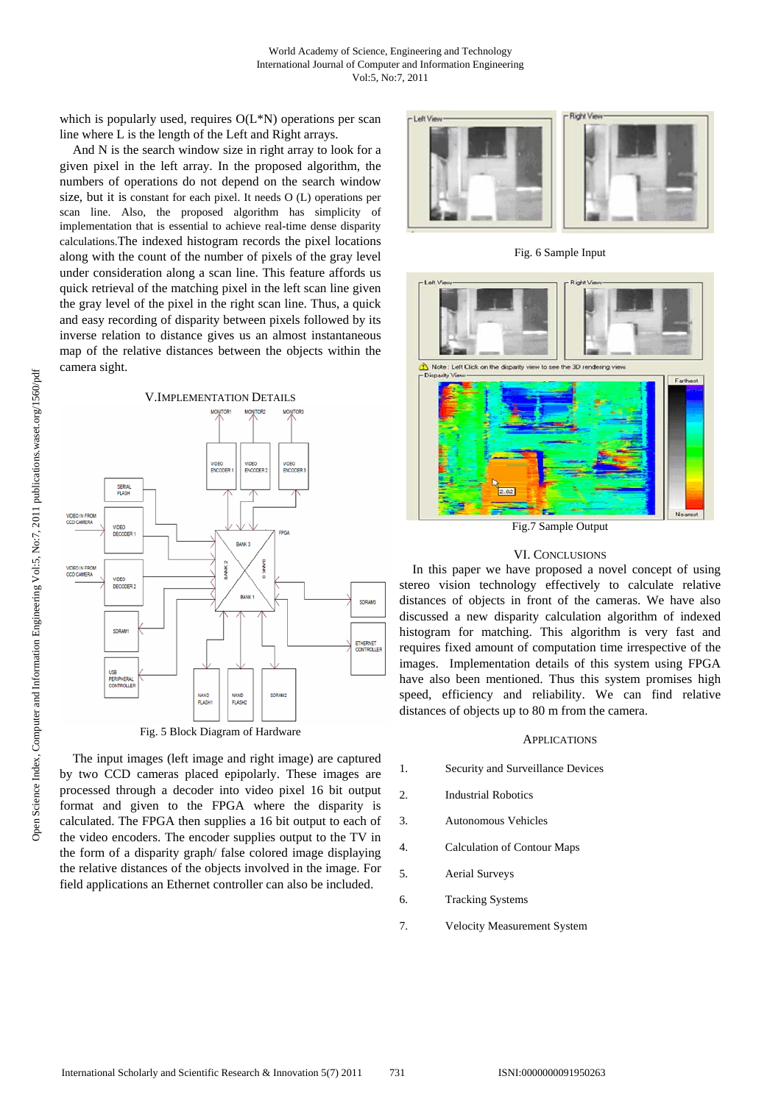which is popularly used, requires  $O(L*N)$  operations per scan line where L is the length of the Left and Right arrays.

And N is the search window size in right array to look for a given pixel in the left array. In the proposed algorithm, the numbers of operations do not depend on the search window size, but it is constant for each pixel. It needs O (L) operations per scan line. Also, the proposed algorithm has simplicity of implementation that is essential to achieve real-time dense disparity calculations.The indexed histogram records the pixel locations along with the count of the number of pixels of the gray level under consideration along a scan line. This feature affords us quick retrieval of the matching pixel in the left scan line given the gray level of the pixel in the right scan line. Thus, a quick and easy recording of disparity between pixels followed by its inverse relation to distance gives us an almost instantaneous map of the relative distances between the objects within the camera sight.



The input images (left image and right image) are captured by two CCD cameras placed epipolarly. These images are processed through a decoder into video pixel 16 bit output format and given to the FPGA where the disparity is calculated. The FPGA then supplies a 16 bit output to each of the video encoders. The encoder supplies output to the TV in the form of a disparity graph/ false colored image displaying the relative distances of the objects involved in the image. For field applications an Ethernet controller can also be included.



Fig. 6 Sample Input



Fig.7 Sample Output

## VI. CONCLUSIONS

In this paper we have proposed a novel concept of using stereo vision technology effectively to calculate relative distances of objects in front of the cameras. We have also discussed a new disparity calculation algorithm of indexed histogram for matching. This algorithm is very fast and requires fixed amount of computation time irrespective of the images. Implementation details of this system using FPGA have also been mentioned. Thus this system promises high speed, efficiency and reliability. We can find relative distances of objects up to 80 m from the camera.

## APPLICATIONS

- 1. Security and Surveillance Devices
- 2. Industrial Robotics
- 3. Autonomous Vehicles
- 4. Calculation of Contour Maps
- 5. Aerial Surveys
- 6. Tracking Systems
- 7. Velocity Measurement System